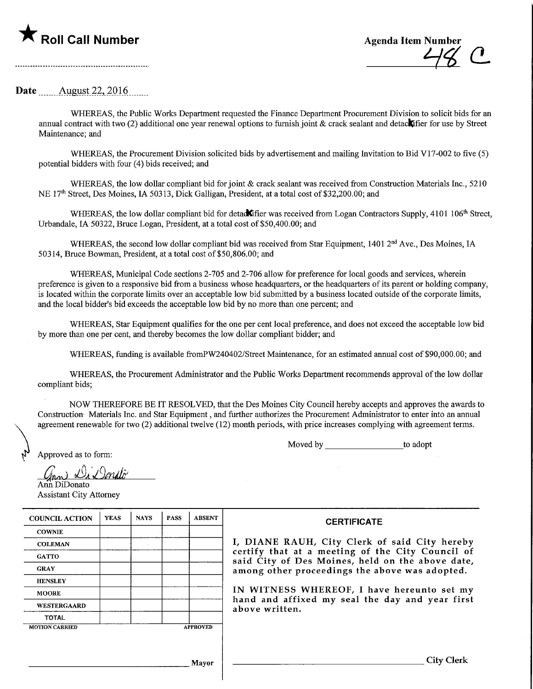

Date .......\_August.22,.2016.

WHEREAS, the Public Works Department requested the Finance Department Procurement Division to solicit bids for an annual contract with two (2) additional one year renewal options to furnish joint  $\&$  crack sealant and detack fier for use by Street Maintenance; and

WHEREAS, the Procurement Division solicited bids by advertisement and mailing Invitation to Bid V17-002 to five (5) potential bidders with four (4) bids received; and

WHEREAS, the low dollar compliant bid for joint & crack sealant was received from Construction Materials Inc., 5210 NE 17th Street, Des Moines, LA. 50313, Dick Galligan, President, at atotal cost of \$32,200.00; and

WHEREAS, the low dollar compliant bid for detad**C** fier was received from Logan Contractors Supply, 4101 106<sup>th</sup> Street, Urbandale, IA 50322, Bruce Logan, President, at a total cost of \$50,400.00; and

WHEREAS, the second low dollar compliant bid was received from Star Equipment, 1401 2<sup>nd</sup> Ave., Des Moines, IA 50314, Bruce Bowman, President, at a total cost of \$50,806.00; and

WHEREAS, Municipal Code sections 2-705 and 2-706 allow for preference for local goods and services, wherein preference is given to a responsive bid from a business whose headquarters, or the headquarters of its parent or holding company, is located withm the corporate limits over an acceptable low bid submitted by a business located outside of the corporate limits, and the local bidder's bid exceeds the acceptable low bid by no more than one percent; and

WHEREAS, Star Equipment qualifies for the one per cent local preference, and does not exceed the acceptable low bid by more than one per cent, and thereby becomes the low dollar compliant bidder; and

WHEREAS, funding is available fromPW240402/Street Maintenance, for an estimated annual cost of \$90,000.00; and

WHEREAS, the Procurement Administrator and the Public Works Department recommends approval of the low dollar compliant bids;

NOW THEREFORE BE IT RESOLVED, that the Des Moines City Council hereby accepts and approves the awards to Construction- Materials Inc. and Star Equipment, and further authorizes the Procurement Administrator to enter into an annual agreement renewable for two (2) additional twelve (12) month periods, with price increases complying with agreement terms.

Moved by to adopt

Approved as to form:

 $\mathscr{D}_{\lambda}$  Di Dondo

Ann DiDonato

Assistant City Attorney

| <b>COUNCIL ACTION</b> | <b>YEAS</b>     | <b>NAYS</b> | <b>PASS</b> | <b>ABSENT</b> |  |
|-----------------------|-----------------|-------------|-------------|---------------|--|
| <b>COWNIE</b>         |                 |             |             |               |  |
| <b>COLEMAN</b>        |                 |             |             |               |  |
| <b>GATTO</b>          |                 |             |             |               |  |
| <b>GRAY</b>           |                 |             |             |               |  |
| <b>HENSLEY</b>        |                 |             |             |               |  |
| <b>MOORE</b>          |                 |             |             |               |  |
| <b>WESTERGAARD</b>    |                 |             |             |               |  |
| <b>TOTAL</b>          |                 |             |             |               |  |
| <b>MOTION CARRIED</b> | <b>APPROVED</b> |             |             |               |  |

**CERTIFICATE** 

I, DIANE RAUH, City Clerk of said City hereby certify that at a meeting of the City Council of said City of Des Moines, held on the above date, among other proceedings the above was adopted.

IN WITNESS WHEREOF, I have hereunto set my hand and affixed my seal the day and year first above written.

Mayor